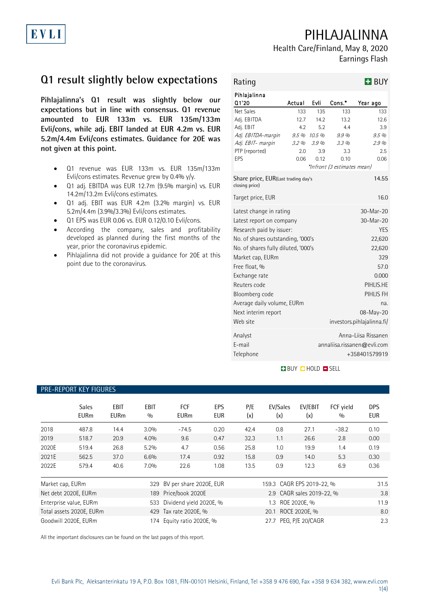PIHLAJALINNA

Health Care/Finland, May 8, 2020 Earnings Flash

# **Q1 result slightly below expectations**

**Pihlajalinna's Q1 result was slightly below our expectations but in line with consensus. Q1 revenue amounted to EUR 133m vs. EUR 135m/133m Evli/cons, while adj. EBIT landed at EUR 4.2m vs. EUR 5.2m/4.4m Evli/cons estimates. Guidance for 20E was not given at this point.**

- Q1 revenue was EUR 133m vs. EUR 135m/133m Evli/cons estimates. Revenue grew by 0.4% y/y.
- Q1 adj. EBITDA was EUR 12.7m (9.5% margin) vs. EUR 14.2m/13.2m Evli/cons estimates.
- Q1 adj. EBIT was EUR 4.2m (3.2% margin) vs. EUR 5.2m/4.4m (3.9%/3.3%) Evli/cons estimates.
- Q1 EPS was EUR 0.06 vs. EUR 0.12/0.10 Evli/cons.
- According the company, sales and profitability developed as planned during the first months of the year, prior the coronavirus epidemic.
- Pihlajalinna did not provide a guidance for 20E at this point due to the coronavirus.

| Rating                                                                                                                                                                                                                                                                                                               |                                                  |                                                   |                                                                                | $H$ BUY                                                                                                                                                        |  |  |  |
|----------------------------------------------------------------------------------------------------------------------------------------------------------------------------------------------------------------------------------------------------------------------------------------------------------------------|--------------------------------------------------|---------------------------------------------------|--------------------------------------------------------------------------------|----------------------------------------------------------------------------------------------------------------------------------------------------------------|--|--|--|
| Pihlajalinna<br>Q1'20                                                                                                                                                                                                                                                                                                | Actual                                           | Evli                                              | Cons.*                                                                         | Year ago                                                                                                                                                       |  |  |  |
| Net Sales<br>Adj. EBITDA<br>Adj. EBIT<br>Adj. EBITDA-margin<br>Adj. EBIT- margin<br>PTP (reported)<br>EPS<br>Share price, EUR(Last trading day's                                                                                                                                                                     | 133<br>127<br>42<br>9.5 %<br>3.2%<br>2.0<br>0.06 | 135<br>142<br>52<br>10.5 %<br>3.9%<br>3.9<br>0.12 | 133<br>132<br>44<br>9.9%<br>3.3%<br>3.3<br>0.10<br>*Infront (3 estimates mean) | 133<br>126<br>3.9<br>9.5%<br>2.9%<br>2.5<br>0.06<br>14.55                                                                                                      |  |  |  |
| closing price)<br>Target price, EUR                                                                                                                                                                                                                                                                                  |                                                  |                                                   |                                                                                | 16.0                                                                                                                                                           |  |  |  |
| Latest change in rating<br>Latest report on company<br>Research paid by issuer:<br>No. of shares outstanding, '000's<br>No. of shares fully diluted, '000's<br>Market cap, EURm<br>Free float, %<br>Exchange rate<br>Reuters code<br>Bloomberg code<br>Average daily volume, EURm<br>Next interim report<br>Web site |                                                  |                                                   |                                                                                | 30-Mar-20<br>$30-Mar-20$<br><b>YES</b><br>22,620<br>22,620<br>329<br>57.0<br>0.000<br>PIHLIS.HE<br>PIHLIS FH<br>na.<br>08-May-20<br>investors.pihlajalinna.fi/ |  |  |  |
| Analyst<br>F-mail<br>Telephone                                                                                                                                                                                                                                                                                       |                                                  |                                                   | Anna-Liisa Rissanen<br>annaliisa.rissanen@evli.com<br>+358401579919            |                                                                                                                                                                |  |  |  |

### **BUY QHOLD SELL**

| TILENLI VIIT NET TIUVIILJ                                |                             |                     |                         |                           |                           |            |                           |                |                  |                          |  |  |  |
|----------------------------------------------------------|-----------------------------|---------------------|-------------------------|---------------------------|---------------------------|------------|---------------------------|----------------|------------------|--------------------------|--|--|--|
|                                                          | <b>Sales</b><br><b>EURm</b> | EBIT<br><b>EURm</b> | <b>EBIT</b><br>0/0      | <b>FCF</b><br><b>EURm</b> | EPS<br><b>EUR</b>         | P/E<br>(x) | EV/Sales<br>(x)           | EV/EBIT<br>(x) | FCF vield<br>0/0 | <b>DPS</b><br><b>EUR</b> |  |  |  |
| 2018                                                     | 487.8                       | 14.4                | 3.0%                    | $-74.5$                   | 0.20                      | 42.4       | 0.8                       | 27.1           | $-38.2$          | 0.10                     |  |  |  |
| 2019                                                     | 518.7                       | 20.9                | 4.0%                    | 9.6                       | 0.47                      | 32.3       | 1.1                       | 26.6           | 2.8              | 0.00                     |  |  |  |
| 2020E                                                    | 519.4                       | 26.8                | $5.2\%$                 | 4.7                       | 0.56                      | 25.8       | 1.0                       | 19.9           | 1.4              | 0.19                     |  |  |  |
| 2021E                                                    | 562.5                       | 37.0                | 6.6%                    | 17.4                      | 0.92                      | 15.8       | 0.9                       | 14.0           | 5.3              | 0.30                     |  |  |  |
| 2022E                                                    | 579.4                       | 40.6                | $7.0\%$                 | 22.6                      | 1.08                      | 13.5       | 0.9                       | 12.3           | 6.9              | 0.36                     |  |  |  |
| Market cap, EURm                                         |                             | 329                 | BV per share 2020E, EUR |                           | 159.3 CAGR EPS 2019-22, % |            |                           |                | 31.5             |                          |  |  |  |
| Net debt 2020E, EURm                                     |                             |                     | 189                     | Price/book 2020E          |                           |            | 2.9 CAGR sales 2019-22, % |                |                  | 3.8                      |  |  |  |
| Dividend yield 2020E, %<br>Enterprise value, EURm<br>533 |                             |                     |                         | 1.3 ROE 2020E, %          |                           |            |                           | 11.9           |                  |                          |  |  |  |
| Total assets 2020E, EURm                                 |                             |                     | 429 Tax rate 2020E, %   |                           | 20.1 ROCE 2020E, %        |            |                           |                | 8.0              |                          |  |  |  |
| Goodwill 2020E, EURm                                     |                             |                     |                         | 174 Equity ratio 2020E, % | PEG, P/E 20/CAGR<br>27.7  |            |                           |                | 2.3              |                          |  |  |  |

All the important disclosures can be found on the last pages of this report.

**PRE-REPORT KEY FIGURE** 

# EVLI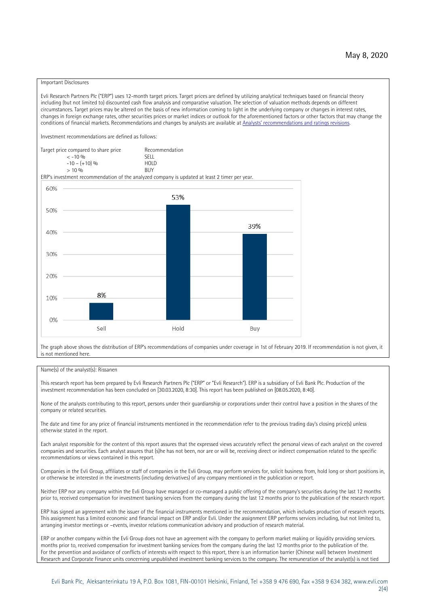### Important Disclosures

Evli Research Partners Plc ("ERP") uses 12-month target prices. Target prices are defined by utilizing analytical techniques based on financial theory including (but not limited to) discounted cash flow analysis and comparative valuation. The selection of valuation methods depends on different circumstances. Target prices may be altered on the basis of new information coming to light in the underlying company or changes in interest rates, changes in foreign exchange rates, other securities prices or market indices or outlook for the aforementioned factors or other factors that may change the conditions of financial markets. Recommendations and changes by analysts are available at [Analysts' recommendations and ratings revisions](https://research.evli.com/JasperAllModels.action?authParam=key;461&authParam=x;G3rNagWrtf7K&authType=3). Investment recommendations are defined as follows: Target price compared to share price Recommendation<br> $\leq 10\%$  $\langle 5, 10, 10 \rangle$  SELL<br>  $\langle -10, 6, 10 \rangle$  SELL<br>  $\langle 10, 10, 10 \rangle$  $-10 - (+10) \%$  HOLD<br>> 10 % BUY  $> 10\%$ ERP's investment recommendation of the analyzed company is updated at least 2 timer per year. 60% 53% 50% 39% 40% 30%  $20%$ 8% 10% 0% Sell Hold Buy

The graph above shows the distribution of ERP's recommendations of companies under coverage in 1st of February 2019. If recommendation is not given, it is not mentioned here.

### Name(s) of the analyst(s): Rissanen

This research report has been prepared by Evli Research Partners Plc ("ERP" or "Evli Research"). ERP is a subsidiary of Evli Bank Plc. Production of the investment recommendation has been concluded on [30.03.2020, 8:30]. This report has been published on [08.05.2020, 8:40].

None of the analysts contributing to this report, persons under their guardianship or corporations under their control have a position in the shares of the company or related securities.

The date and time for any price of financial instruments mentioned in the recommendation refer to the previous trading day's closing price(s) unless otherwise stated in the report.

Each analyst responsible for the content of this report assures that the expressed views accurately reflect the personal views of each analyst on the covered companies and securities. Each analyst assures that (s)he has not been, nor are or will be, receiving direct or indirect compensation related to the specific recommendations or views contained in this report.

Companies in the Evli Group, affiliates or staff of companies in the Evli Group, may perform services for, solicit business from, hold long or short positions in, or otherwise be interested in the investments (including derivatives) of any company mentioned in the publication or report.

Neither ERP nor any company within the Evli Group have managed or co-managed a public offering of the company's securities during the last 12 months prior to, received compensation for investment banking services from the company during the last 12 months prior to the publication of the research report.

ERP has signed an agreement with the issuer of the financial instruments mentioned in the recommendation, which includes production of research reports. This assignment has a limited economic and financial impact on ERP and/or Evli. Under the assignment ERP performs services including, but not limited to, arranging investor meetings or –events, investor relations communication advisory and production of research material.

ERP or another company within the Evli Group does not have an agreement with the company to perform market making or liquidity providing services. months prior to, received compensation for investment banking services from the company during the last 12 months prior to the publication of the. For the prevention and avoidance of conflicts of interests with respect to this report, there is an information barrier (Chinese wall) between Investment Research and Corporate Finance units concerning unpublished investment banking services to the company. The remuneration of the analyst(s) is not tied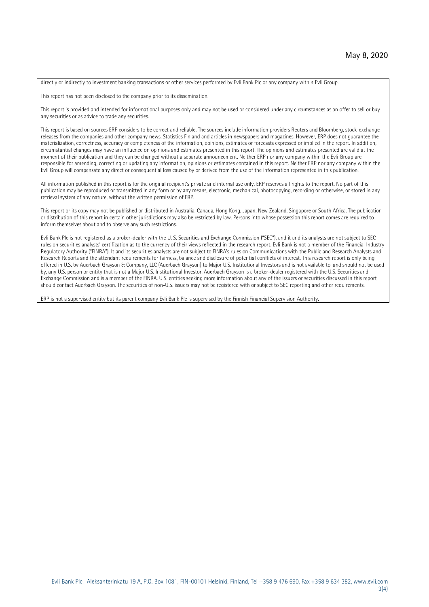directly or indirectly to investment banking transactions or other services performed by Evli Bank Plc or any company within Evli Group.

This report has not been disclosed to the company prior to its dissemination.

This report is provided and intended for informational purposes only and may not be used or considered under any circumstances as an offer to sell or buy any securities or as advice to trade any securities.

This report is based on sources ERP considers to be correct and reliable. The sources include information providers Reuters and Bloomberg, stock-exchange releases from the companies and other company news, Statistics Finland and articles in newspapers and magazines. However, ERP does not guarantee the materialization, correctness, accuracy or completeness of the information, opinions, estimates or forecasts expressed or implied in the report. In addition, circumstantial changes may have an influence on opinions and estimates presented in this report. The opinions and estimates presented are valid at the moment of their publication and they can be changed without a separate announcement. Neither ERP nor any company within the Evli Group are responsible for amending, correcting or updating any information, opinions or estimates contained in this report. Neither ERP nor any company within the Evli Group will compensate any direct or consequential loss caused by or derived from the use of the information represented in this publication.

All information published in this report is for the original recipient's private and internal use only. ERP reserves all rights to the report. No part of this publication may be reproduced or transmitted in any form or by any means, electronic, mechanical, photocopying, recording or otherwise, or stored in any retrieval system of any nature, without the written permission of ERP.

This report or its copy may not be published or distributed in Australia, Canada, Hong Kong, Japan, New Zealand, Singapore or South Africa. The publication or distribution of this report in certain other jurisdictions may also be restricted by law. Persons into whose possession this report comes are required to inform themselves about and to observe any such restrictions.

Evli Bank Plc is not registered as a broker-dealer with the U. S. Securities and Exchange Commission ("SEC"), and it and its analysts are not subject to SEC rules on securities analysts' certification as to the currency of their views reflected in the research report. Evli Bank is not a member of the Financial Industry Regulatory Authority ("FINRA"). It and its securities analysts are not subject to FINRA's rules on Communications with the Public and Research Analysts and Research Reports and the attendant requirements for fairness, balance and disclosure of potential conflicts of interest. This research report is only being offered in U.S. by Auerbach Grayson & Company, LLC (Auerbach Grayson) to Major U.S. Institutional Investors and is not available to, and should not be used by, any U.S. person or entity that is not a Major U.S. Institutional Investor. Auerbach Grayson is a broker-dealer registered with the U.S. Securities and Exchange Commission and is a member of the FINRA. U.S. entities seeking more information about any of the issuers or securities discussed in this report should contact Auerbach Grayson. The securities of non-U.S. issuers may not be registered with or subject to SEC reporting and other requirements.

ERP is not a supervised entity but its parent company Evli Bank Plc is supervised by the Finnish Financial Supervision Authority.